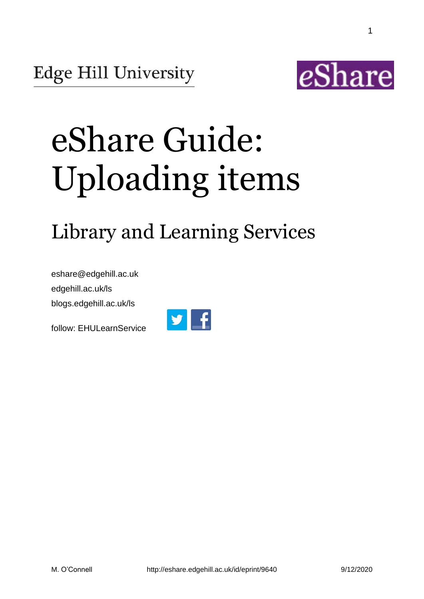

1

# eShare Guide: Uploading items

## Library and Learning Services

eshare@edgehill.ac.uk edgehill.ac.uk/ls blogs.edgehill.ac.uk/ls

follow: EHULearnService

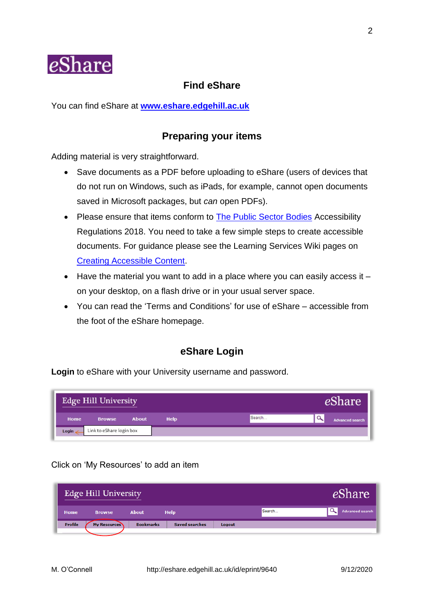

## **Find eShare**

You can find eShare at **[www.eshare.edgehill.ac.uk](http://www.eshare.edgehill.ac.uk/)**

## **Preparing your items**

Adding material is very straightforward.

- Save documents as a PDF before uploading to eShare (users of devices that do not run on Windows, such as iPads, for example, cannot open documents saved in Microsoft packages, but *can* open PDFs).
- Please ensure that items conform to [The Public Sector Bodies](http://www.legislation.gov.uk/uksi/2018/952/made) Accessibility Regulations 2018. You need to take a few simple steps to create accessible documents. For guidance please see the Learning Services Wiki pages on [Creating Accessible Content.](https://go.edgehill.ac.uk/display/ls/Documents)
- $\bullet$  Have the material you want to add in a place where you can easily access it  $$ on your desktop, on a flash drive or in your usual server space.
- You can read the 'Terms and Conditions' for use of eShare accessible from the foot of the eShare homepage.

## **eShare Login**

**Login** to eShare with your University username and password.

|             | <b>Edge Hill University</b> |              |             |        | 'hare                  |
|-------------|-----------------------------|--------------|-------------|--------|------------------------|
| <b>Home</b> | <b>Browse</b>               | <b>About</b> | <b>Help</b> | Search | <b>Advanced search</b> |
| Login       | Link to eShare login box    |              |             |        |                        |

## Click on 'My Resources' to add an item

| <b>Edge Hill University</b> | <b>Share</b>        |                  |                       |        |        |                        |
|-----------------------------|---------------------|------------------|-----------------------|--------|--------|------------------------|
| <b>Home</b>                 | <b>Browse</b>       | <b>About</b>     | <b>Help</b>           |        | Search | <b>Advanced search</b> |
| <b>Profile</b>              | <b>My Resources</b> | <b>Bookmarks</b> | <b>Saved searches</b> | Logout |        |                        |
|                             |                     |                  |                       |        |        |                        |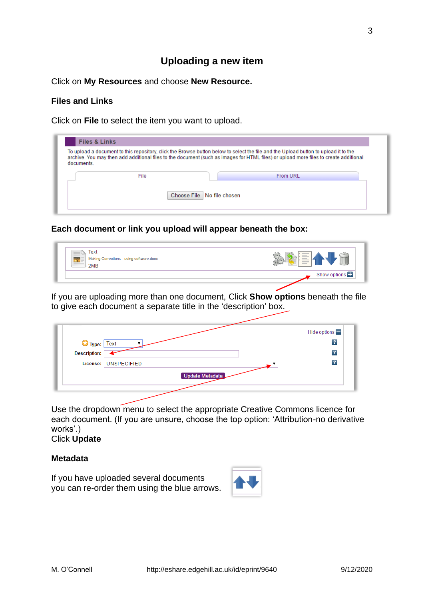## **Uploading a new item**

Click on **My Resources** and choose **New Resource.**

## **Files and Links**

Click on **File** to select the item you want to upload.

|            |      |                            | To upload a document to this repository, click the Browse button below to select the file and the Upload button to upload it to the  |  |
|------------|------|----------------------------|--------------------------------------------------------------------------------------------------------------------------------------|--|
|            |      |                            | archive. You may then add additional files to the document (such as images for HTML files) or upload more files to create additional |  |
| documents. |      |                            |                                                                                                                                      |  |
|            |      |                            |                                                                                                                                      |  |
|            | File |                            | <b>From URL</b>                                                                                                                      |  |
|            |      |                            |                                                                                                                                      |  |
|            |      |                            |                                                                                                                                      |  |
|            |      | Choose File No file chosen |                                                                                                                                      |  |

**Each document or link you upload will appear beneath the box:**

| Text<br>$\equiv$<br>Making Corrections - using software.docx<br>Ξ.<br>$=$<br>2MB |              |
|----------------------------------------------------------------------------------|--------------|
|                                                                                  | Show options |

If you are uploading more than one document, Click **Show options** beneath the file to give each document a separate title in the 'description' box.

|                            |                      | Hide options $\blacksquare$ |
|----------------------------|----------------------|-----------------------------|
|                            |                      | $\overline{\cdot}$          |
| Type: Text<br>Description: |                      | $\overline{\cdot}$          |
|                            | License: UNSPECIFIED | $\overline{\cdot}$          |
|                            | Update Metadata      |                             |
|                            |                      |                             |

Use the dropdown menu to select the appropriate Creative Commons licence for each document. (If you are unsure, choose the top option: 'Attribution-no derivative works'.)

## Click **Update**

## **Metadata**

If you have uploaded several documents you can re-order them using the blue arrows.

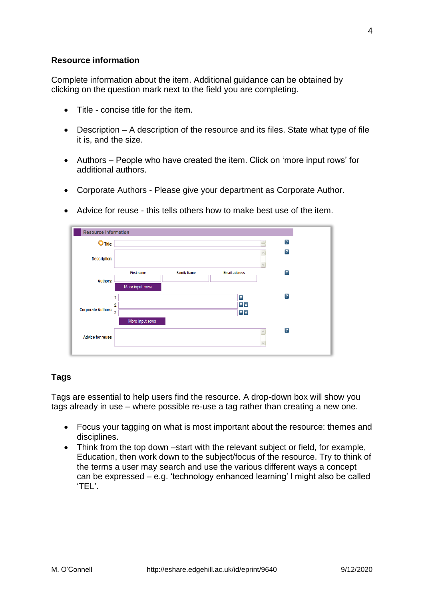## **Resource information**

Complete information about the item. Additional guidance can be obtained by clicking on the question mark next to the field you are completing.

- Title concise title for the item.
- Description A description of the resource and its files. State what type of file it is, and the size.
- Authors People who have created the item. Click on 'more input rows' for additional authors.
- Corporate Authors Please give your department as Corporate Author.

| <b>Resource Information</b>      |                   |                    |                                                                              |                       |                |
|----------------------------------|-------------------|--------------------|------------------------------------------------------------------------------|-----------------------|----------------|
| O<br><b>Title:</b>               |                   |                    |                                                                              | $\frac{\lambda}{\pi}$ | $\overline{?}$ |
| <b>Description:</b>              |                   |                    |                                                                              |                       | $\boxed{?}$    |
|                                  | <b>First name</b> | <b>Family Name</b> | <b>Email address</b>                                                         |                       | $\overline{1}$ |
| <b>Authors:</b>                  | More input rows   |                    |                                                                              |                       |                |
|                                  |                   |                    | $\overline{\mathbf{v}}$                                                      |                       | $\overline{?}$ |
| Corporate Authors: $\frac{1}{3}$ | 2.                |                    | $\overline{\mathbf{v}}$ $\mathbf{A}$<br>$\overline{\mathbf{v}}$ $\mathbf{v}$ |                       |                |
|                                  | More input rows   |                    |                                                                              |                       |                |
|                                  |                   |                    |                                                                              | ٨                     | $\overline{?}$ |
| <b>Advice for reuse:</b>         |                   |                    |                                                                              |                       |                |
|                                  |                   |                    |                                                                              |                       |                |

• Advice for reuse - this tells others how to make best use of the item.

## **Tags**

Tags are essential to help users find the resource. A drop-down box will show you tags already in use – where possible re-use a tag rather than creating a new one.

- Focus your tagging on what is most important about the resource: themes and disciplines.
- Think from the top down –start with the relevant subject or field, for example, Education, then work down to the subject/focus of the resource. Try to think of the terms a user may search and use the various different ways a concept can be expressed – e.g. 'technology enhanced learning' l might also be called 'TEL'.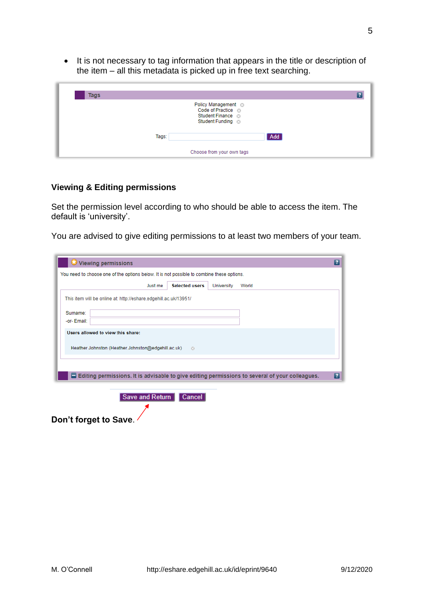• It is not necessary to tag information that appears in the title or description of the item – all this metadata is picked up in free text searching.



#### **Viewing & Editing permissions**

Set the permission level according to who should be able to access the item. The default is 'university'.

You are advised to give editing permissions to at least two members of your team.

| Just me | <b>Selected users</b>             | <b>University</b>                                                                                                                 | World |  |
|---------|-----------------------------------|-----------------------------------------------------------------------------------------------------------------------------------|-------|--|
|         |                                   |                                                                                                                                   |       |  |
|         |                                   |                                                                                                                                   |       |  |
|         |                                   |                                                                                                                                   |       |  |
|         |                                   |                                                                                                                                   |       |  |
|         |                                   |                                                                                                                                   |       |  |
|         |                                   |                                                                                                                                   |       |  |
|         |                                   |                                                                                                                                   |       |  |
|         |                                   |                                                                                                                                   |       |  |
|         | Users allowed to view this share: | This item will be online at: http://eshare.edgehill.ac.uk/13951/<br>Heather Johnston (Heather Johnston@edgehill.ac.uk)<br>$\odot$ |       |  |

**Don't forget to Save**.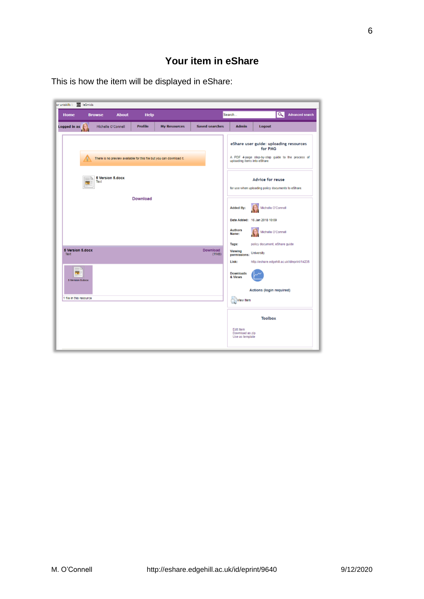| or uniskills b 31 leSmids       |    |                           |                    |                |                                                                      |                       |                                           |                                                                                                                                       |
|---------------------------------|----|---------------------------|--------------------|----------------|----------------------------------------------------------------------|-----------------------|-------------------------------------------|---------------------------------------------------------------------------------------------------------------------------------------|
| Home                            |    | <b>Browse</b>             | <b>About</b>       | <b>Help</b>    |                                                                      |                       | Search                                    | $\alpha$<br><b>Advanced search</b>                                                                                                    |
| Logged in as $\sqrt{ }$         |    |                           | Michelle O'Connell | <b>Profile</b> | <b>My Resources</b>                                                  | <b>Saved searches</b> | <b>Admin</b>                              | Logout                                                                                                                                |
|                                 |    |                           |                    |                | There is no preview available for this file but you can download it. |                       |                                           | eShare user guide: uploading resources<br>for PMG<br>A PDF 4-page step-by-step guide to the process of<br>uploading items into eShare |
|                                 | RV | 5 Version 5, docx<br>Text |                    |                |                                                                      |                       |                                           | Advice for reuse<br>for use when uploading policy documents to eShare.                                                                |
|                                 |    |                           |                    | Download       |                                                                      |                       | <b>Added By:</b>                          | Michelle O'Connell                                                                                                                    |
|                                 |    |                           |                    |                |                                                                      |                       | <b>Authors</b><br>Name:                   | Date Added: 16 Jan 2018 10:09<br>Michelle O'Connell                                                                                   |
| <b>5 Version 5.docx</b><br>Text |    |                           |                    |                |                                                                      | Download<br>(11kB)    | Tags:<br>Viewing<br>permissions:<br>Link: | policy document, eShare guide<br>University<br>http://eshare.edgehill.ac.uk/id/eprint/14235                                           |
| <b>A</b><br>5 Version 5 docx    |    |                           |                    |                |                                                                      |                       | <b>Downloads</b><br>& Views               |                                                                                                                                       |
| 1 file in this resource         |    |                           |                    |                |                                                                      |                       | <b>View Item</b>                          | Actions (login required)                                                                                                              |
|                                 |    |                           |                    |                |                                                                      |                       | Edit item                                 | <b>Toolbox</b>                                                                                                                        |
|                                 |    |                           |                    |                |                                                                      |                       | Download as zip<br>Use as template        |                                                                                                                                       |

This is how the item will be displayed in eShare: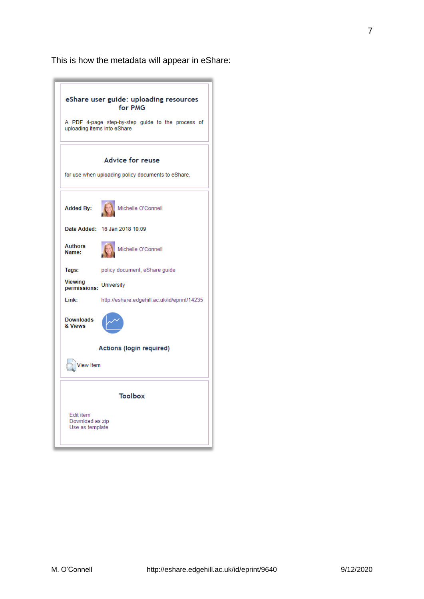This is how the metadata will appear in eShare:

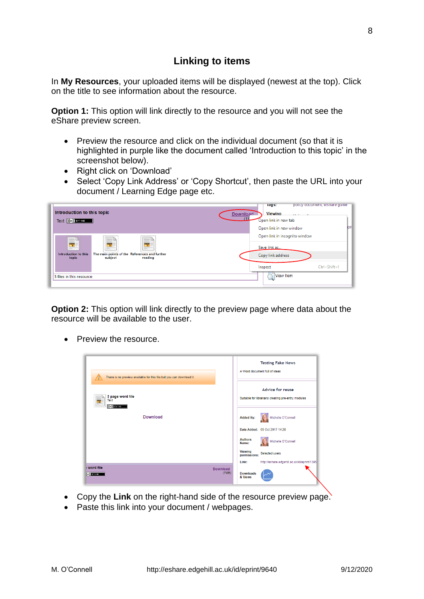## **Linking to items**

In **My Resources**, your uploaded items will be displayed (newest at the top). Click on the title to see information about the resource.

**Option 1:** This option will link directly to the resource and you will not see the eShare preview screen.

- Preview the resource and click on the individual document (so that it is highlighted in purple like the document called 'Introduction to this topic' in the screenshot below).
- Right click on 'Download'
- Select 'Copy Link Address' or 'Copy Shortcut', then paste the URL into your document / Learning Edge page etc.

| Introduction to this topic<br>$(c)$ BY-ND<br>Text  |                                                                     | policy document, esnare guide<br>Tags:<br><b>Viewing</b><br><b>Download</b><br>and the control<br>(11)<br>Open link in new tab<br>Open link in new window | lior |
|----------------------------------------------------|---------------------------------------------------------------------|-----------------------------------------------------------------------------------------------------------------------------------------------------------|------|
| ≡<br>$\mathbf{v}$<br>Introduction to this<br>topic | The main points of the References and further<br>subject<br>reading | Open link in incognito window<br>Save link as<br>Copy link address                                                                                        |      |
| 3 files in this resource                           |                                                                     | Ctrl+Shift+I<br>Inspect<br>View Item                                                                                                                      |      |

**Option 2:** This option will link directly to the preview page where data about the resource will be available to the user.

• Preview the resource.

| There is no preview available for this file but you can download it. | <b>Testing Fake News</b><br>A Word document full of ideas                                                |
|----------------------------------------------------------------------|----------------------------------------------------------------------------------------------------------|
| 3 page word file<br>Text<br>$\left( $ (cc) $\right)$ EXY-NO          | <b>Advice for reuse</b><br>Suitable for librarians creating pre-entry modules                            |
| Download                                                             | Michelle O'Connell<br><b>Added By:</b>                                                                   |
|                                                                      | Date Added: 05 Oct 2017 14:28<br><b>Authors</b><br>Michelle O'Connell<br>Name:                           |
|                                                                      | <b>Viewing</b><br>Selected users<br>permissions:<br>http://eshare.edgehill.ac.uk/id/eprint/1395<br>Link: |
| word file<br><b>Download</b><br>(7MB)<br>CC) BY-ND                   | <b>Downloads</b><br>& Views                                                                              |

- Copy the **Link** on the right-hand side of the resource preview page.
- Paste this link into your document / webpages.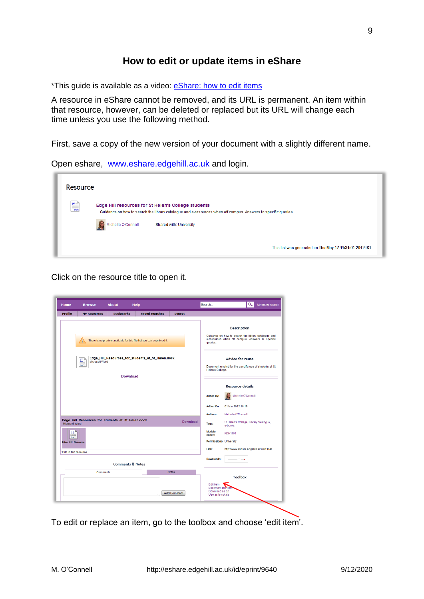## **How to edit or update items in eShare**

\*This guide is available as a video: **eShare:** how to edit items

A resource in eShare cannot be removed, and its URL is permanent. An item within that resource, however, can be deleted or replaced but its URL will change each time unless you use the following method.

First, save a copy of the new version of your document with a slightly different name.

Open eshare, [www.eshare.edgehill.ac.uk](http://www.eshare.edgehill.ac.uk/) and login.

| $\frac{W}{\frac{1}{1000}}$ |                                                                                                                                                                      |                         |  |  |  |  |  |
|----------------------------|----------------------------------------------------------------------------------------------------------------------------------------------------------------------|-------------------------|--|--|--|--|--|
|                            | Edge Hill resources for St Helen's College students<br>Guidance on how to search the library catalogue and e-resources when off campus. Answers to specific queries. |                         |  |  |  |  |  |
|                            | Michelle O'Connell                                                                                                                                                   | Shared with: University |  |  |  |  |  |

Click on the resource title to open it.

| Home                            | <b>Browse</b>                                     | About                       | <b>Help</b>                                                          |                                    | Search                                                               | $\alpha$<br><b>Advanced search</b>                                                                                            |
|---------------------------------|---------------------------------------------------|-----------------------------|----------------------------------------------------------------------|------------------------------------|----------------------------------------------------------------------|-------------------------------------------------------------------------------------------------------------------------------|
| <b>Profile</b>                  | <b>My Resources</b>                               | <b>Bookmarks</b>            | <b>Saved searches</b>                                                | Logout                             |                                                                      |                                                                                                                               |
|                                 |                                                   |                             | There is no preview available for this file but you can download it. |                                    | queries.                                                             | <b>Description</b><br>Guidance on how to search the library catalogue and<br>e-resources when off campus. Answers to specific |
|                                 | □<br>Microsoft Word<br>doc                        | <b>Download</b>             | Edge_Hill_Resources_for_students_at_St_Helen.docx                    |                                    | Helen's College.                                                     | Advice for reuse<br>Document created for the specific use of students at St                                                   |
|                                 |                                                   |                             |                                                                      |                                    | <b>Added By:</b><br><b>Added On:</b>                                 | <b>Resource details</b><br>Michelle O'Connell<br>01 Mar 2012 10:19                                                            |
| <b>Microsoft Word</b>           | Edge_Hill_Resources_for_students_at_St_Helen.docx |                             |                                                                      | <b>Download</b>                    | <b>Authors:</b><br>Tags:                                             | Michelle O'Connell<br>St Helen's College, Library catalogue,<br>e-books                                                       |
| Ξ.<br>doc<br>Edge_Hill_Resource |                                                   |                             |                                                                      |                                    | <b>Module</b><br>codes:                                              | <b>FDH1101</b><br>Permissions: University                                                                                     |
| 1 file in this resource         |                                                   |                             |                                                                      |                                    | Link:                                                                | http://www.eshare.edgehill.ac.uk/1374/                                                                                        |
|                                 |                                                   | <b>Comments &amp; Notes</b> |                                                                      |                                    | <b>Downloads:</b>                                                    |                                                                                                                               |
|                                 | <b>Comments</b>                                   |                             |                                                                      | <b>Notes</b><br><b>Add Comment</b> | Edit item<br>Bookmark this ite<br>Download as zip<br>Use as template | <b>Toolbox</b>                                                                                                                |

To edit or replace an item, go to the toolbox and choose 'edit item'.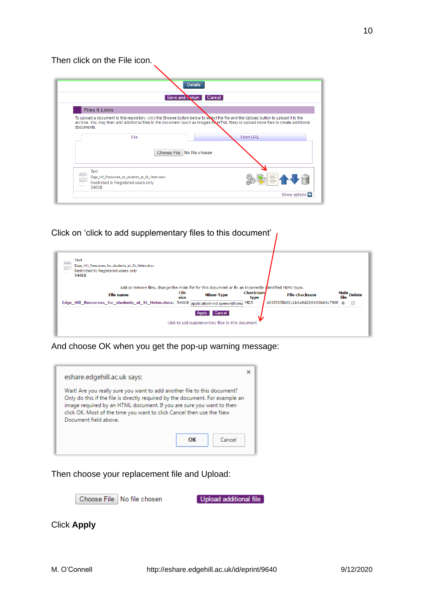## Then click on the File icon.

| <b>Details</b>                                                                                                                                                                                                                                                                                   |          |
|--------------------------------------------------------------------------------------------------------------------------------------------------------------------------------------------------------------------------------------------------------------------------------------------------|----------|
| Save and <b>Neturn</b> Cancel                                                                                                                                                                                                                                                                    |          |
| <b>Files &amp; Links</b>                                                                                                                                                                                                                                                                         |          |
| To upload a document to this repository, click the Browse button below to select the file and the Upload button to upload it to the<br>archive. You may then add additional files to the document (such as images for HTML files) or upload more files to create additional<br>documents<br>File | From URL |
| Choose File No file chosen                                                                                                                                                                                                                                                                       |          |
| Text<br>Edge Hill Resources for students at St Helen.docx                                                                                                                                                                                                                                        | 49       |

Click on 'click to add supplementary files to this document'



And choose OK when you get the pop-up warning message:



Then choose your replacement file and Upload:

Choose File | No file chosen

Upload additional file

Click **Apply**